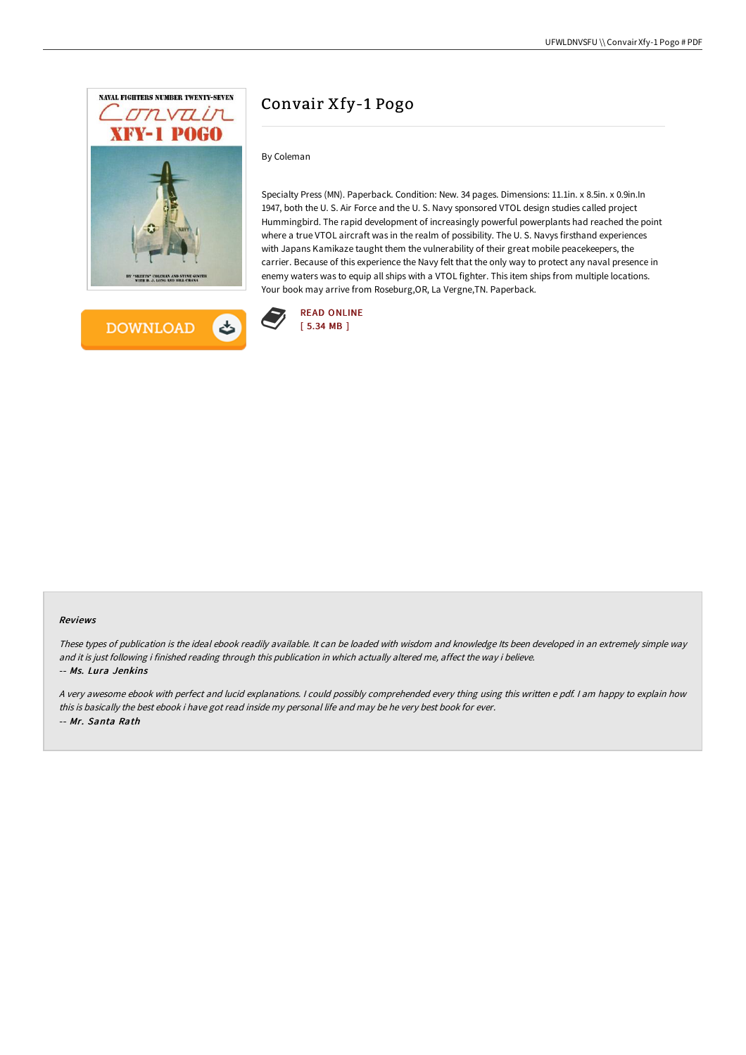



# Convair Xfy-1 Pogo

# By Coleman

Specialty Press (MN). Paperback. Condition: New. 34 pages. Dimensions: 11.1in. x 8.5in. x 0.9in.In 1947, both the U. S. Air Force and the U. S. Navy sponsored VTOL design studies called project Hummingbird. The rapid development of increasingly powerful powerplants had reached the point where a true VTOL aircraft was in the realm of possibility. The U. S. Navys firsthand experiences with Japans Kamikaze taught them the vulnerability of their great mobile peacekeepers, the carrier. Because of this experience the Navy felt that the only way to protect any naval presence in enemy waters was to equip all ships with a VTOL fighter. This item ships from multiple locations. Your book may arrive from Roseburg,OR, La Vergne,TN. Paperback.



#### Reviews

These types of publication is the ideal ebook readily available. It can be loaded with wisdom and knowledge Its been developed in an extremely simple way and it is just following i finished reading through this publication in which actually altered me, affect the way i believe. -- Ms. Lura Jenkins

<sup>A</sup> very awesome ebook with perfect and lucid explanations. <sup>I</sup> could possibly comprehended every thing using this written <sup>e</sup> pdf. <sup>I</sup> am happy to explain how this is basically the best ebook i have got read inside my personal life and may be he very best book for ever. -- Mr. Santa Rath